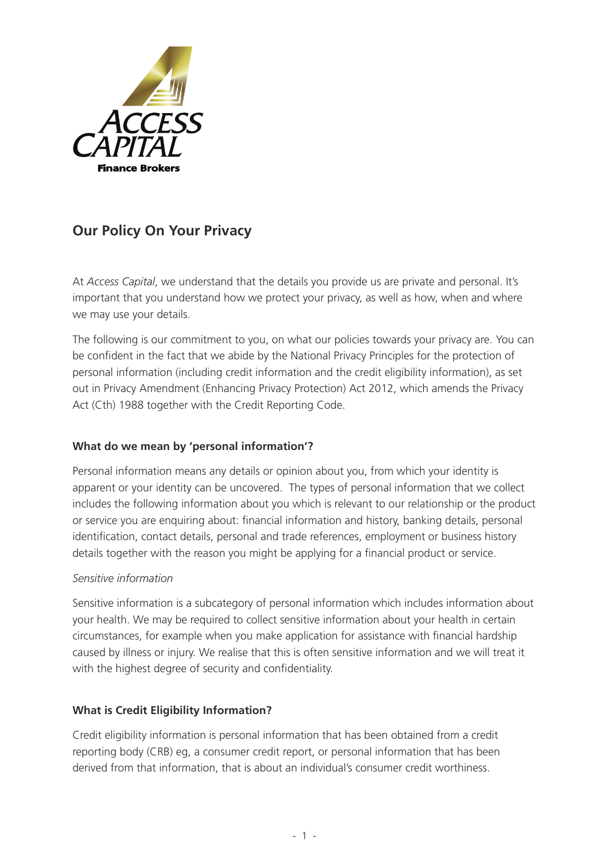

# **Our Policy On Your Privacy**

At *Access Capital*, we understand that the details you provide us are private and personal. It's important that you understand how we protect your privacy, as well as how, when and where we may use your details.

The following is our commitment to you, on what our policies towards your privacy are. You can be confident in the fact that we abide by the National Privacy Principles for the protection of personal information (including credit information and the credit eligibility information), as set out in Privacy Amendment (Enhancing Privacy Protection) Act 2012, which amends the Privacy Act (Cth) 1988 together with the Credit Reporting Code.

# **What do we mean by 'personal information'?**

Personal information means any details or opinion about you, from which your identity is apparent or your identity can be uncovered. The types of personal information that we collect includes the following information about you which is relevant to our relationship or the product or service you are enquiring about: financial information and history, banking details, personal identification, contact details, personal and trade references, employment or business history details together with the reason you might be applying for a financial product or service.

#### *Sensitive information*

Sensitive information is a subcategory of personal information which includes information about your health. We may be required to collect sensitive information about your health in certain circumstances, for example when you make application for assistance with financial hardship caused by illness or injury. We realise that this is often sensitive information and we will treat it with the highest degree of security and confidentiality.

#### **What is Credit Eligibility Information?**

Credit eligibility information is personal information that has been obtained from a credit reporting body (CRB) eg, a consumer credit report, or personal information that has been derived from that information, that is about an individual's consumer credit worthiness.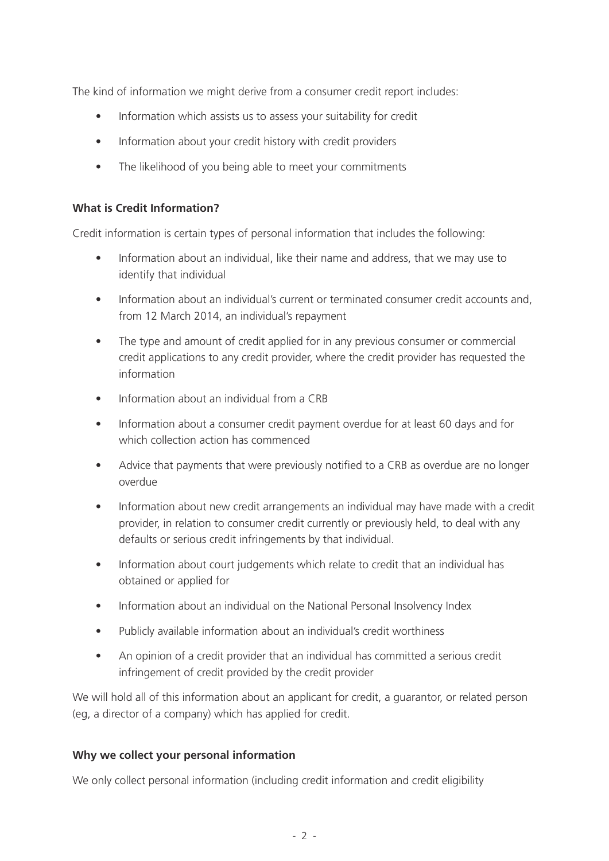The kind of information we might derive from a consumer credit report includes:

- Information which assists us to assess your suitability for credit
- Information about your credit history with credit providers
- The likelihood of you being able to meet your commitments

#### **What is Credit Information?**

Credit information is certain types of personal information that includes the following:

- Information about an individual, like their name and address, that we may use to identify that individual
- Information about an individual's current or terminated consumer credit accounts and, from 12 March 2014, an individual's repayment
- The type and amount of credit applied for in any previous consumer or commercial credit applications to any credit provider, where the credit provider has requested the information
- Information about an individual from a CRB
- Information about a consumer credit payment overdue for at least 60 days and for which collection action has commenced
- Advice that payments that were previously notified to a CRB as overdue are no longer overdue
- Information about new credit arrangements an individual may have made with a credit provider, in relation to consumer credit currently or previously held, to deal with any defaults or serious credit infringements by that individual.
- Information about court judgements which relate to credit that an individual has obtained or applied for
- Information about an individual on the National Personal Insolvency Index
- Publicly available information about an individual's credit worthiness
- An opinion of a credit provider that an individual has committed a serious credit infringement of credit provided by the credit provider

We will hold all of this information about an applicant for credit, a guarantor, or related person (eg, a director of a company) which has applied for credit.

#### **Why we collect your personal information**

We only collect personal information (including credit information and credit eligibility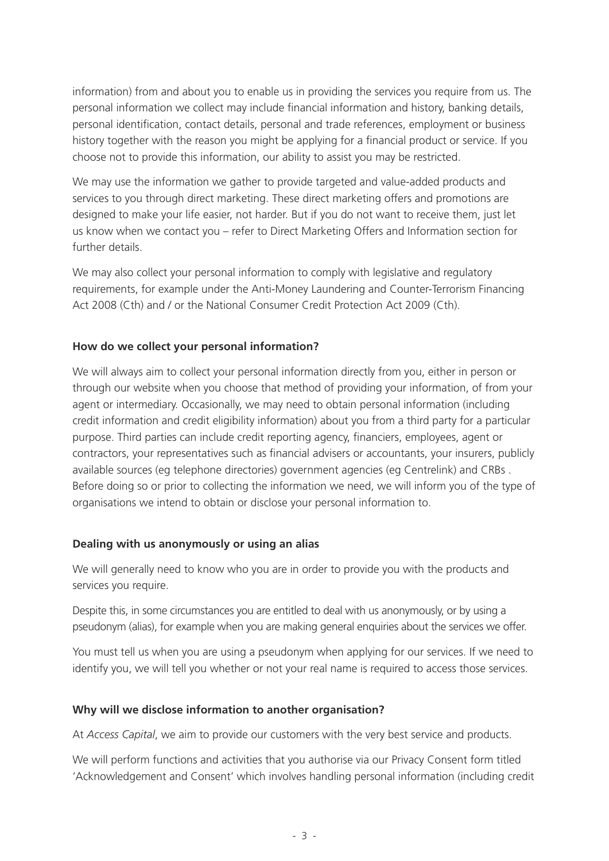information) from and about you to enable us in providing the services you require from us. The personal information we collect may include financial information and history, banking details, personal identification, contact details, personal and trade references, employment or business history together with the reason you might be applying for a financial product or service. If you choose not to provide this information, our ability to assist you may be restricted.

We may use the information we gather to provide targeted and value-added products and services to you through direct marketing. These direct marketing offers and promotions are designed to make your life easier, not harder. But if you do not want to receive them, just let us know when we contact you – refer to Direct Marketing Offers and Information section for further details.

We may also collect your personal information to comply with legislative and regulatory requirements, for example under the Anti-Money Laundering and Counter-Terrorism Financing Act 2008 (Cth) and / or the National Consumer Credit Protection Act 2009 (Cth).

#### **How do we collect your personal information?**

We will always aim to collect your personal information directly from you, either in person or through our website when you choose that method of providing your information, of from your agent or intermediary. Occasionally, we may need to obtain personal information (including credit information and credit eligibility information) about you from a third party for a particular purpose. Third parties can include credit reporting agency, financiers, employees, agent or contractors, your representatives such as financial advisers or accountants, your insurers, publicly available sources (eg telephone directories) government agencies (eg Centrelink) and CRBs . Before doing so or prior to collecting the information we need, we will inform you of the type of organisations we intend to obtain or disclose your personal information to.

#### **Dealing with us anonymously or using an alias**

We will generally need to know who you are in order to provide you with the products and services you require.

Despite this, in some circumstances you are entitled to deal with us anonymously, or by using a pseudonym (alias), for example when you are making general enquiries about the services we offer.

You must tell us when you are using a pseudonym when applying for our services. If we need to identify you, we will tell you whether or not your real name is required to access those services.

#### **Why will we disclose information to another organisation?**

At *Access Capital*, we aim to provide our customers with the very best service and products.

We will perform functions and activities that you authorise via our Privacy Consent form titled 'Acknowledgement and Consent' which involves handling personal information (including credit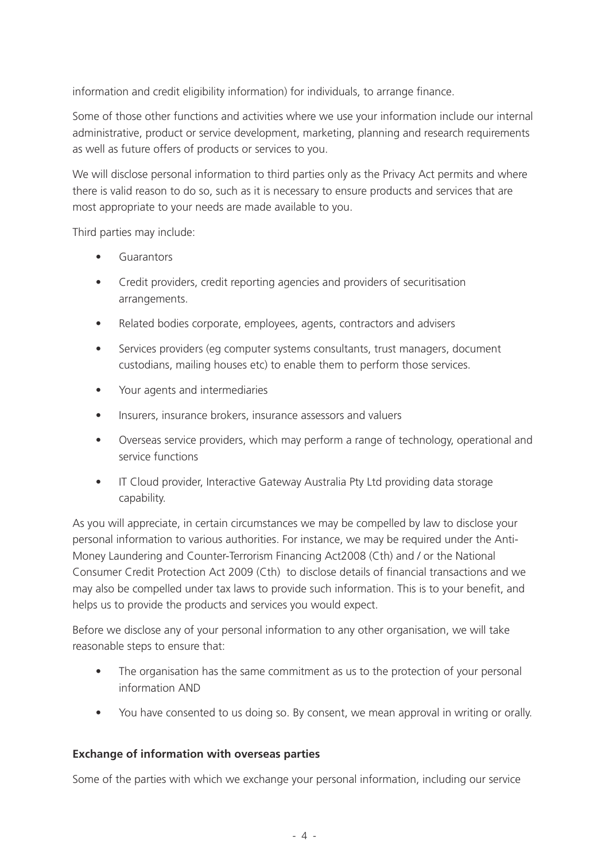information and credit eligibility information) for individuals, to arrange finance.

Some of those other functions and activities where we use your information include our internal administrative, product or service development, marketing, planning and research requirements as well as future offers of products or services to you.

We will disclose personal information to third parties only as the Privacy Act permits and where there is valid reason to do so, such as it is necessary to ensure products and services that are most appropriate to your needs are made available to you.

Third parties may include:

- **Guarantors**
- Credit providers, credit reporting agencies and providers of securitisation arrangements.
- Related bodies corporate, employees, agents, contractors and advisers
- Services providers (eg computer systems consultants, trust managers, document custodians, mailing houses etc) to enable them to perform those services.
- • Your agents and intermediaries
- Insurers, insurance brokers, insurance assessors and valuers
- Overseas service providers, which may perform a range of technology, operational and service functions
- IT Cloud provider, Interactive Gateway Australia Pty Ltd providing data storage capability.

As you will appreciate, in certain circumstances we may be compelled by law to disclose your personal information to various authorities. For instance, we may be required under the Anti-Money Laundering and Counter-Terrorism Financing Act2008 (Cth) and / or the National Consumer Credit Protection Act 2009 (Cth) to disclose details of financial transactions and we may also be compelled under tax laws to provide such information. This is to your benefit, and helps us to provide the products and services you would expect.

Before we disclose any of your personal information to any other organisation, we will take reasonable steps to ensure that:

- The organisation has the same commitment as us to the protection of your personal information AND
- You have consented to us doing so. By consent, we mean approval in writing or orally.

#### **Exchange of information with overseas parties**

Some of the parties with which we exchange your personal information, including our service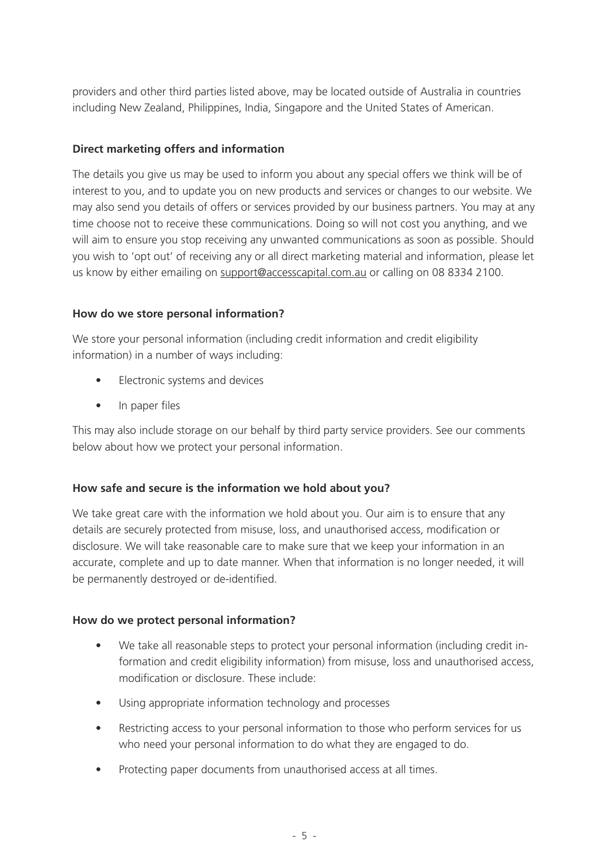providers and other third parties listed above, may be located outside of Australia in countries including New Zealand, Philippines, India, Singapore and the United States of American.

## **Direct marketing offers and information**

The details you give us may be used to inform you about any special offers we think will be of interest to you, and to update you on new products and services or changes to our website. We may also send you details of offers or services provided by our business partners. You may at any time choose not to receive these communications. Doing so will not cost you anything, and we will aim to ensure you stop receiving any unwanted communications as soon as possible. Should you wish to 'opt out' of receiving any or all direct marketing material and information, please let us know by either emailing on support@accesscapital.com.au or calling on 08 8334 2100.

#### **How do we store personal information?**

We store your personal information (including credit information and credit eligibility information) in a number of ways including:

- Electronic systems and devices
- In paper files

This may also include storage on our behalf by third party service providers. See our comments below about how we protect your personal information.

# **How safe and secure is the information we hold about you?**

We take great care with the information we hold about you. Our aim is to ensure that any details are securely protected from misuse, loss, and unauthorised access, modification or disclosure. We will take reasonable care to make sure that we keep your information in an accurate, complete and up to date manner. When that information is no longer needed, it will be permanently destroyed or de-identified.

# **How do we protect personal information?**

- We take all reasonable steps to protect your personal information (including credit information and credit eligibility information) from misuse, loss and unauthorised access, modification or disclosure. These include:
- Using appropriate information technology and processes
- Restricting access to your personal information to those who perform services for us who need your personal information to do what they are engaged to do.
- Protecting paper documents from unauthorised access at all times.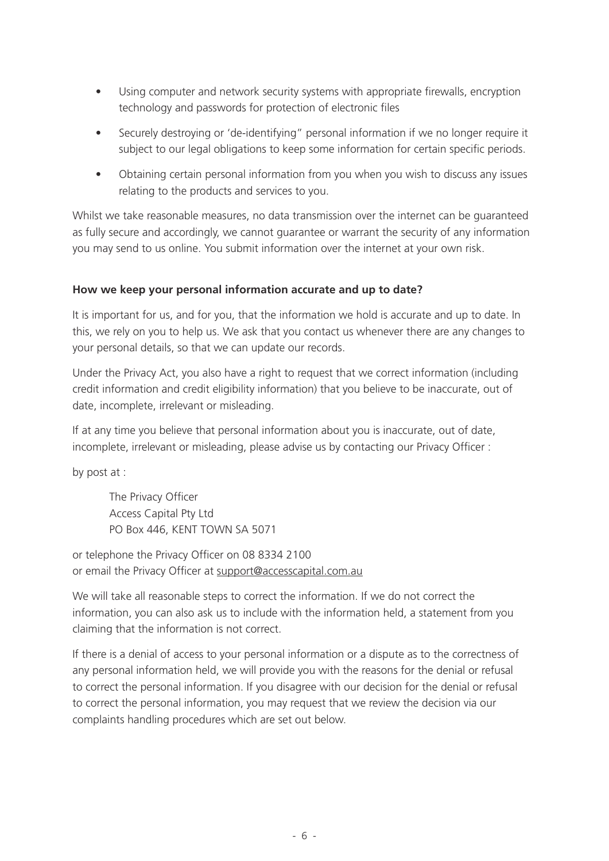- Using computer and network security systems with appropriate firewalls, encryption technology and passwords for protection of electronic files
- Securely destroying or 'de-identifying" personal information if we no longer require it subject to our legal obligations to keep some information for certain specific periods.
- Obtaining certain personal information from you when you wish to discuss any issues relating to the products and services to you.

Whilst we take reasonable measures, no data transmission over the internet can be guaranteed as fully secure and accordingly, we cannot guarantee or warrant the security of any information you may send to us online. You submit information over the internet at your own risk.

#### **How we keep your personal information accurate and up to date?**

It is important for us, and for you, that the information we hold is accurate and up to date. In this, we rely on you to help us. We ask that you contact us whenever there are any changes to your personal details, so that we can update our records.

Under the Privacy Act, you also have a right to request that we correct information (including credit information and credit eligibility information) that you believe to be inaccurate, out of date, incomplete, irrelevant or misleading.

If at any time you believe that personal information about you is inaccurate, out of date, incomplete, irrelevant or misleading, please advise us by contacting our Privacy Officer :

by post at :

The Privacy Officer Access Capital Pty Ltd PO Box 446, KENT TOWN SA 5071

or telephone the Privacy Officer on 08 8334 2100 or email the Privacy Officer at support@accesscapital.com.au

We will take all reasonable steps to correct the information. If we do not correct the information, you can also ask us to include with the information held, a statement from you claiming that the information is not correct.

If there is a denial of access to your personal information or a dispute as to the correctness of any personal information held, we will provide you with the reasons for the denial or refusal to correct the personal information. If you disagree with our decision for the denial or refusal to correct the personal information, you may request that we review the decision via our complaints handling procedures which are set out below.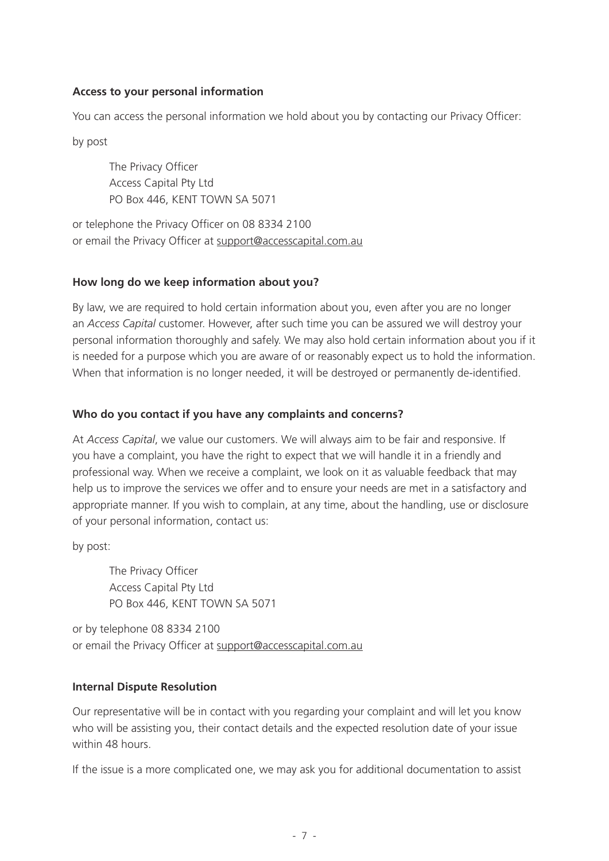#### **Access to your personal information**

You can access the personal information we hold about you by contacting our Privacy Officer:

by post

The Privacy Officer Access Capital Pty Ltd PO Box 446, KENT TOWN SA 5071

or telephone the Privacy Officer on 08 8334 2100 or email the Privacy Officer at support@accesscapital.com.au

#### **How long do we keep information about you?**

By law, we are required to hold certain information about you, even after you are no longer an *Access Capital* customer. However, after such time you can be assured we will destroy your personal information thoroughly and safely. We may also hold certain information about you if it is needed for a purpose which you are aware of or reasonably expect us to hold the information. When that information is no longer needed, it will be destroyed or permanently de-identified.

## **Who do you contact if you have any complaints and concerns?**

At *Access Capital*, we value our customers. We will always aim to be fair and responsive. If you have a complaint, you have the right to expect that we will handle it in a friendly and professional way. When we receive a complaint, we look on it as valuable feedback that may help us to improve the services we offer and to ensure your needs are met in a satisfactory and appropriate manner. If you wish to complain, at any time, about the handling, use or disclosure of your personal information, contact us:

by post:

The Privacy Officer Access Capital Pty Ltd PO Box 446, KENT TOWN SA 5071

or by telephone 08 8334 2100 or email the Privacy Officer at support@accesscapital.com.au

#### **Internal Dispute Resolution**

Our representative will be in contact with you regarding your complaint and will let you know who will be assisting you, their contact details and the expected resolution date of your issue within 48 hours.

If the issue is a more complicated one, we may ask you for additional documentation to assist